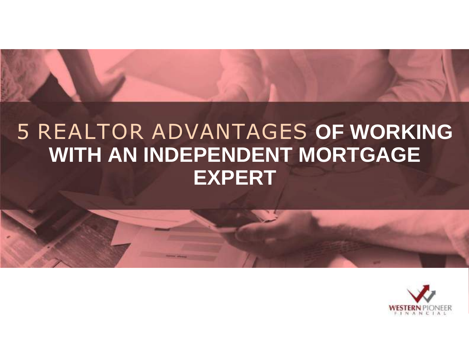# 5 REALTOR ADVANTAGES **OF WORKING**

## **WITH AN INDEPENDENT MORTGAGE EXPERT**

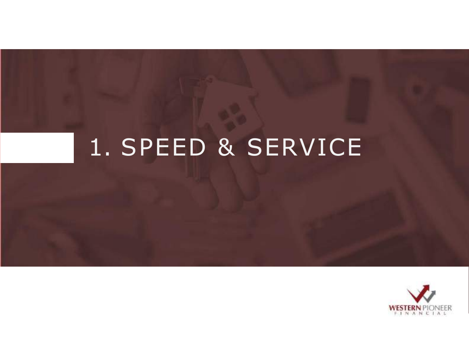# 1. SPEED & SERVICE

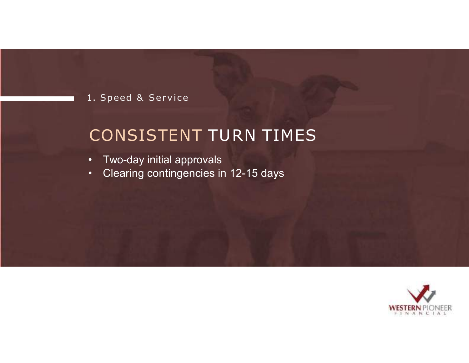#### CONSISTENT TURN TIMES

- Two-day initial approvals
- Clearing contingencies in 12-15 days

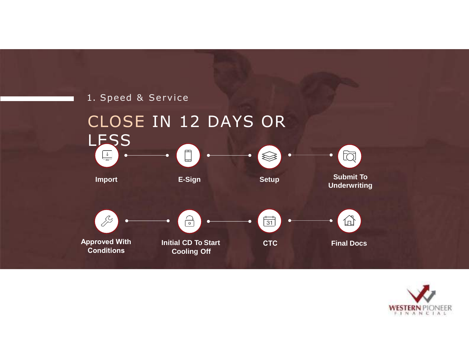

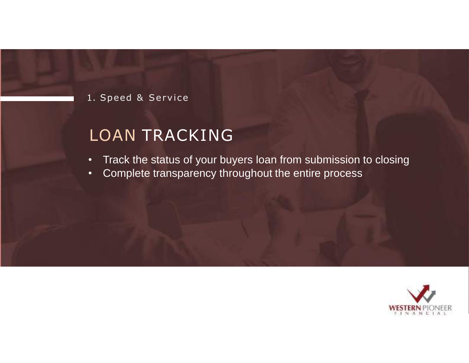#### LOAN TRACKING

- Track the status of your buyers loan from submission to closing
- Complete transparency throughout the entire process

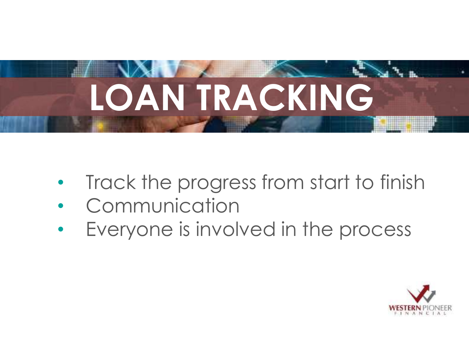

- Track the progress from start to finish
- **Communication**
- Everyone is involved in the process

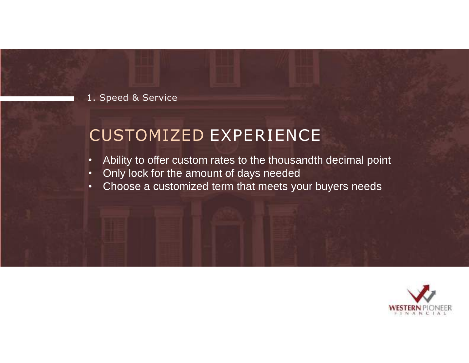#### CUSTOMIZED EXPERIENCE

- Ability to offer custom rates to the thousandth decimal point
- Only lock for the amount of days needed
- Choose a customized term that meets your buyers needs

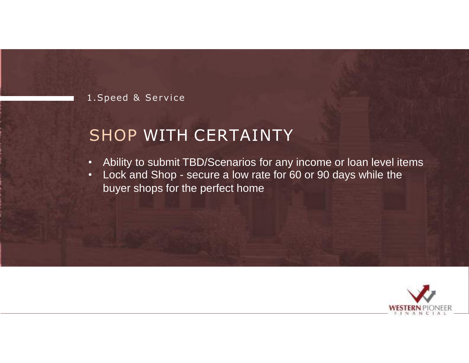#### SHOP WITH CERTAINTY

- Ability to submit TBD/Scenarios for any income or loan level items
- Lock and Shop secure a low rate for 60 or 90 days while the buyer shops for the perfect home

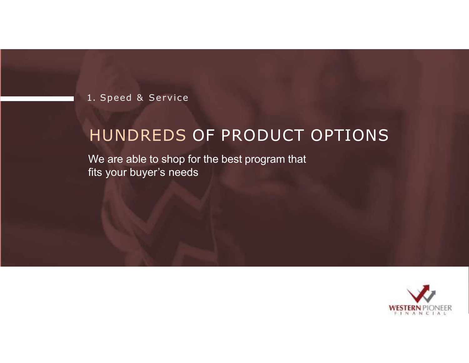#### HUNDREDS OF PRODUCT OPTIONS

We are able to shop for the best program that fits your buyer's needs

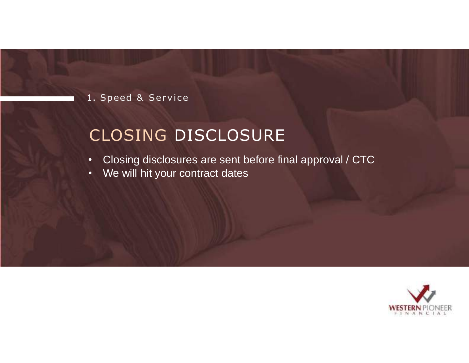#### CLOSING DISCLOSURE

- Closing disclosures are sent before final approval / CTC
- We will hit your contract dates

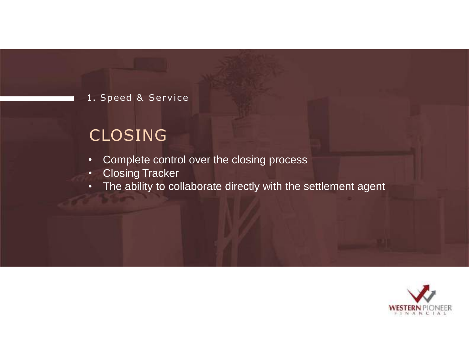#### CLOSING

- Complete control over the closing process
- Closing Tracker
- The ability to collaborate directly with the settlement agent

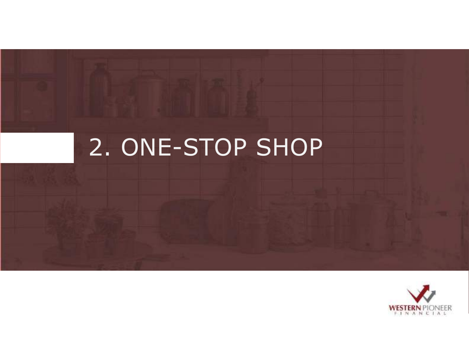# 2. ONE-STOP SHOP

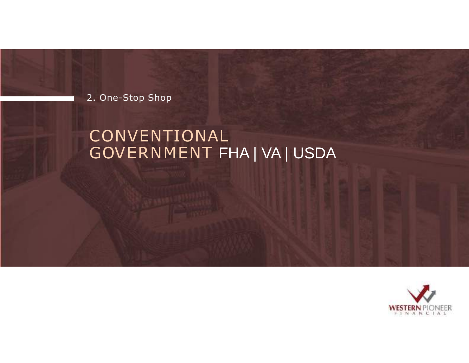2. One-Stop Shop

#### CONVENTIONAL GOVERNMENT FHA | VA | USDA

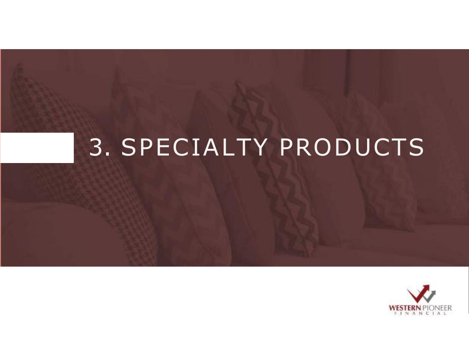# 3. SPECIALTY PRODUCTS

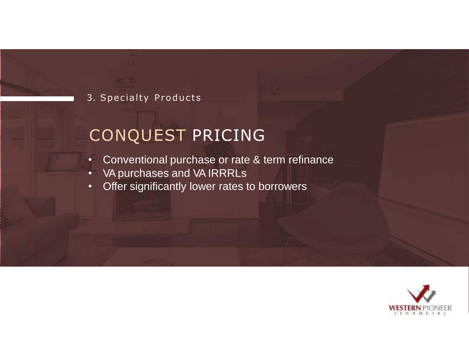#### 3. Specialty Products

#### CONQUEST PRICING

- Conventional purchase or rate & term refinance
- VA purchases and VA IRRRLs
- Offer significantly lower rates to borrowers

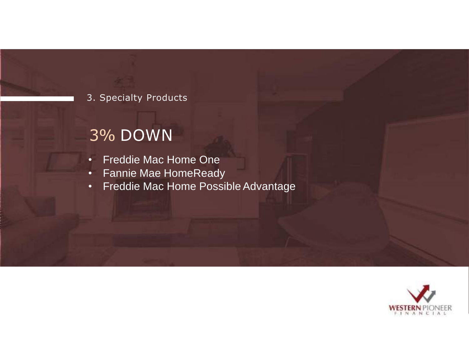#### 3. Specialty Products

#### 3% DOWN

- Freddie Mac Home One
- Fannie Mae HomeReady
- Freddie Mac Home Possible Advantage

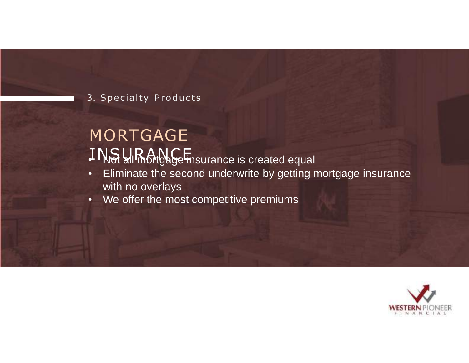3. Specialty Products

#### MORTGAGE I NS URANCE<br>I NS all mortgage insurance is created equal

- Eliminate the second underwrite by getting mortgage insurance with no overlays
- We offer the most competitive premiums

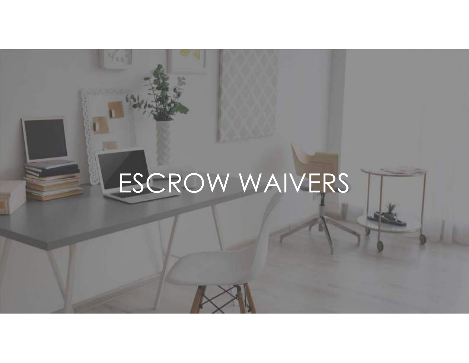# ESCROW WAIVERS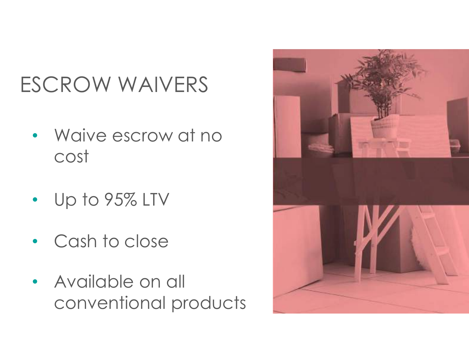# ESCROW WAIVERS

- Waive escrow at no cost
- Up to 95% LTV
- Cash to close
- Available on all conventional products

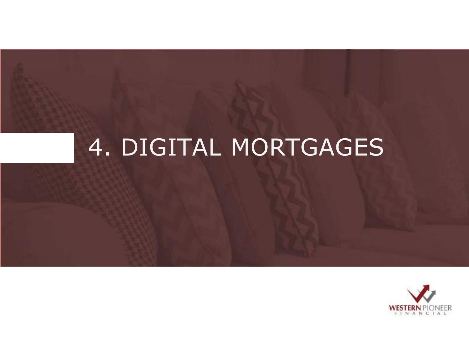# 4. DIGITAL MORTGAGES

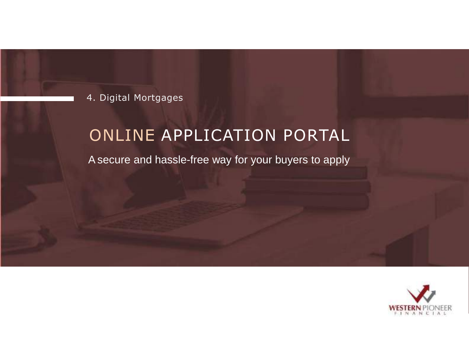4. Digital Mortgages

#### ONLINE APPLICATION PORTAL

Asecure and hassle-free way for your buyers to apply

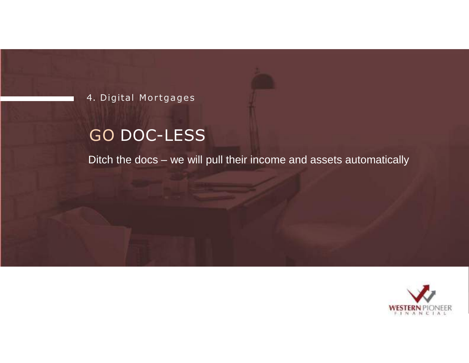4. Digital Mortgages

#### GO DOC-LESS

Ditch the docs – we will pull their income and assets automatically

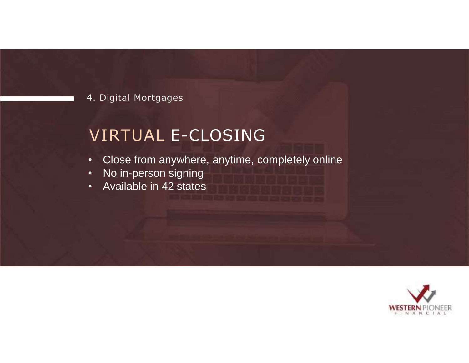4. Digital Mortgages

#### VIRTUAL E-CLOSING

- Close from anywhere, anytime, completely online
- No in-person signing
- Available in 42 states

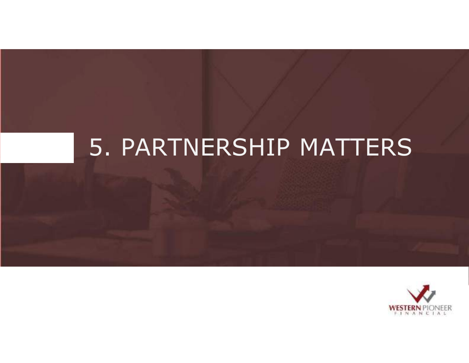# 5. PARTNERSHIP MATTERS

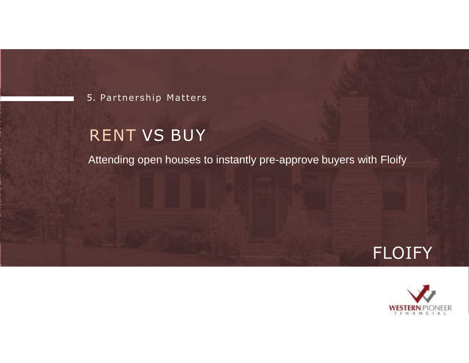5. Partnership Matters

#### RENT VS BUY

Attending open houses to instantly pre-approve buyers with Floify



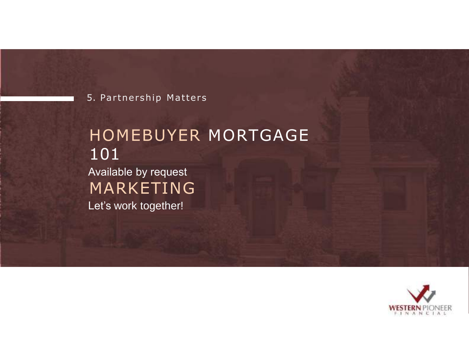5. Partnership Matters

#### HOMEBUYER MORTGAGE 101 Available by request MARKETING Let's work together!

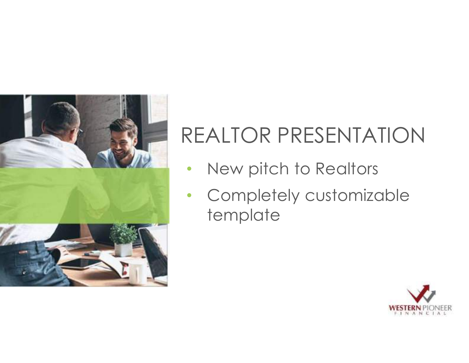

# REALTOR PRESENTATION

- New pitch to Realtors
- Completely customizable template

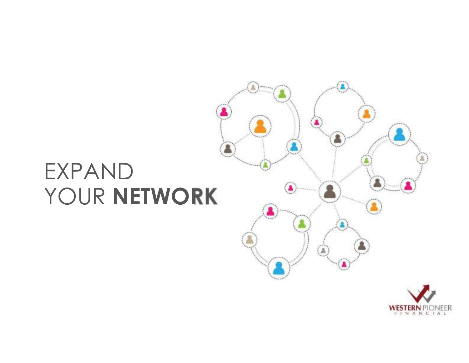# EXPAND YOUR **NETWORK**



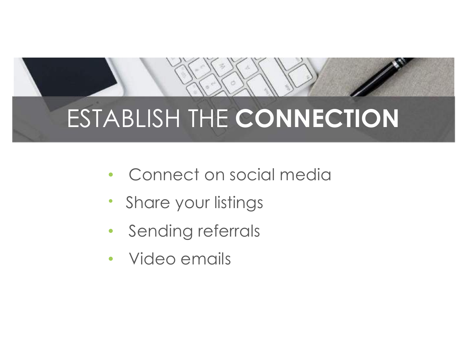# ESTABLISH THE **CONNECTION**

- Connect on social media
- Share your listings
- Sending referrals
- Video emails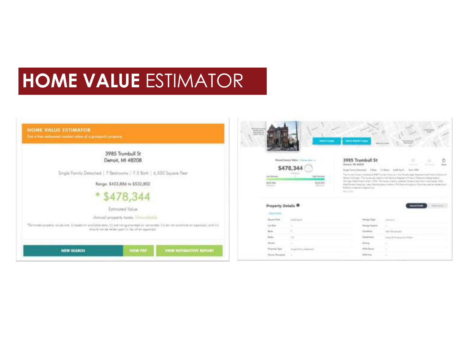### **HOME VALUE** ESTIMATOR

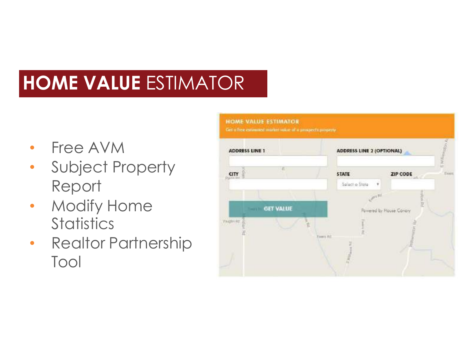### **HOME VALUE** ESTIMATOR

- Free AVM
- Subject Property Report
- Modify Home **Statistics**
- Realtor Partnership Tool

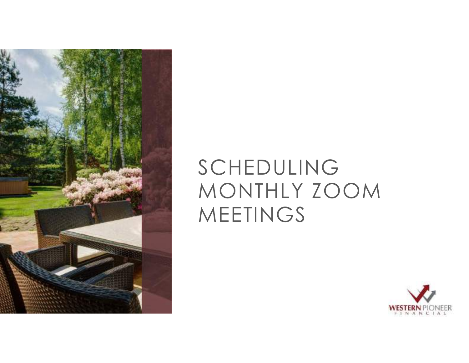

## SCHEDULING MONTHLY ZOOM **MEETINGS**

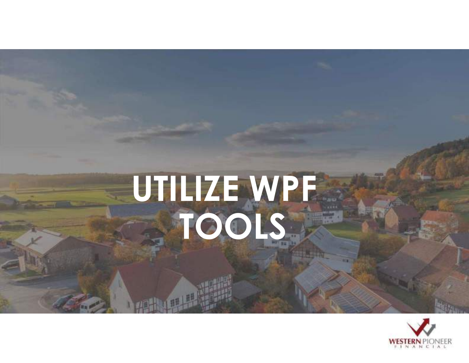# **UTILIZE WPF TOOLS**

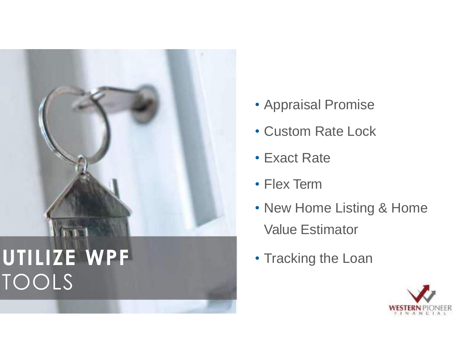

- Appraisal Promise
- Custom Rate Lock
- Exact Rate
- Flex Term
- New Home Listing & Home Value Estimator
- Tracking the Loan

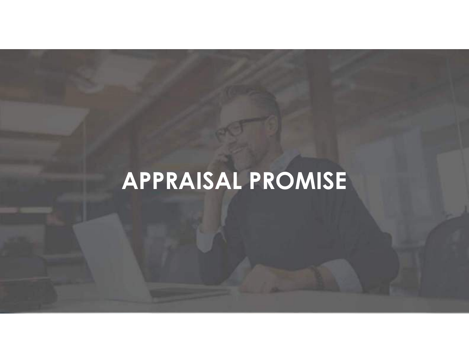# $\overline{APPRAISALPROMISE}$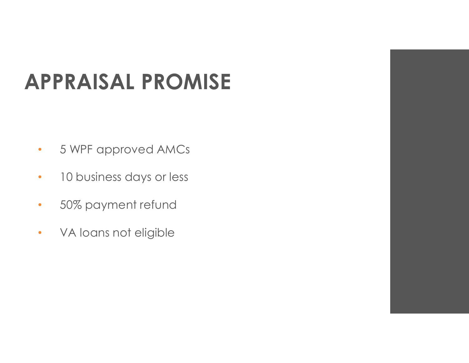# **APPRAISAL PROMISE**

- 5 WPF approved AMCs
- 10 business days or less
- 50% payment refund
- VA loans not eligible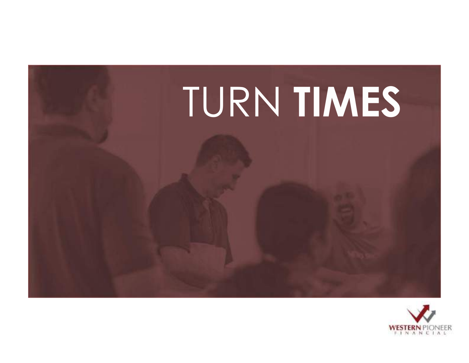

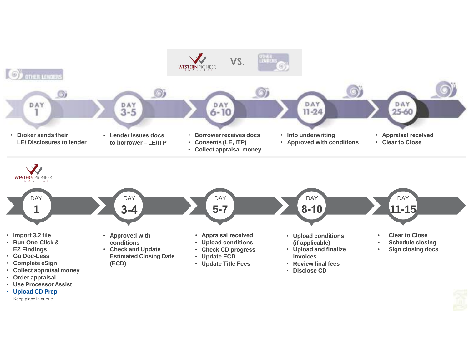

- **Upload CD Prep**
	- Keep place in queue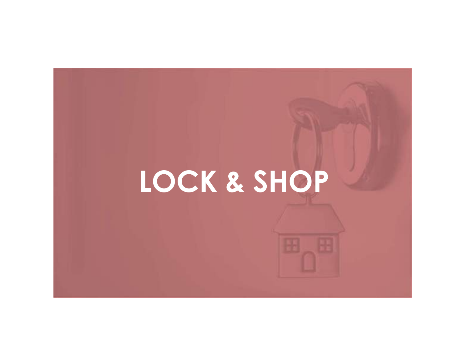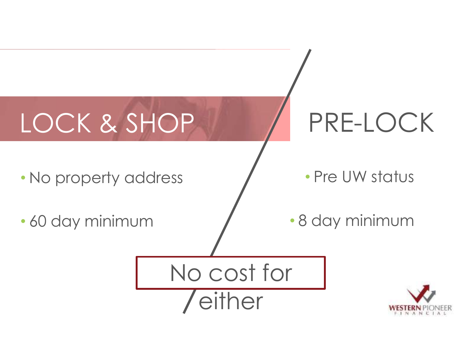# LOCK & SHOP / PRE-LOCK

• No property address

• 60 day minimum

• Pre UW status

• 8 day minimum



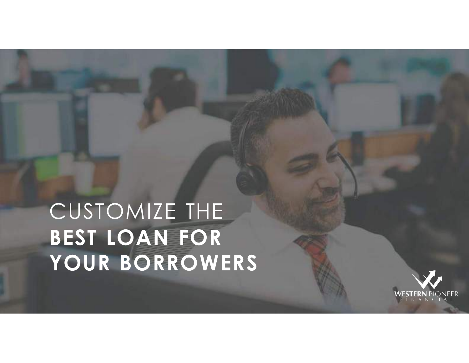# CUSTOMIZE THE **BEST LOAN FOR YOUR BORROWERS**